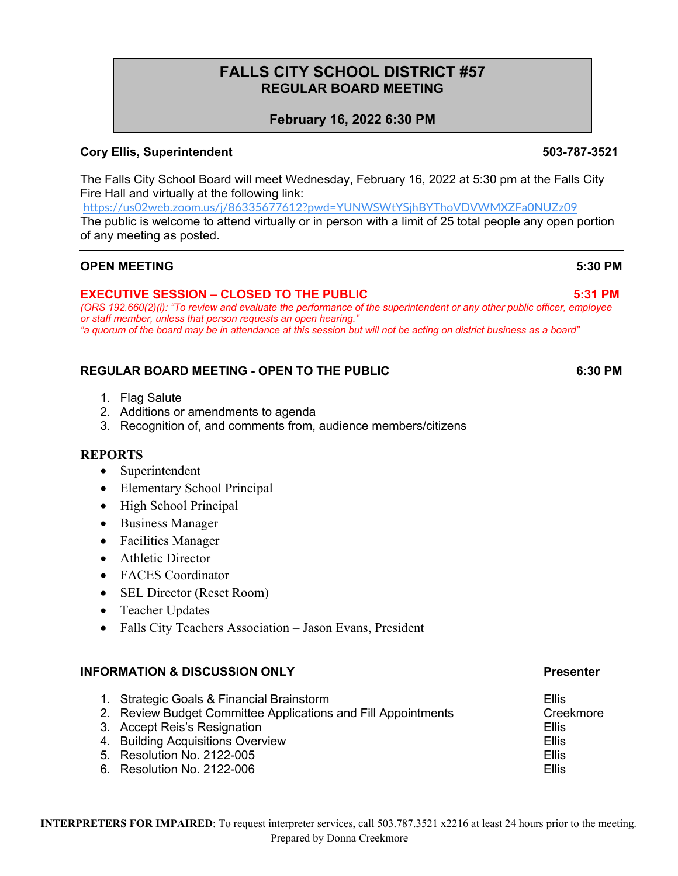# **FALLS CITY SCHOOL DISTRICT #57 REGULAR BOARD MEETING**

# **February 16, 2022 6:30 PM**

### **Cory Ellis, Superintendent 503-787-3521**

The Falls City School Board will meet Wednesday, February 16, 2022 at 5:30 pm at the Falls City Fire Hall and virtually at the following link:

https://us02web.zoom.us/j/86335677612?pwd=YUNWSWtYSjhBYThoVDVWMXZFa0NUZz09

The public is welcome to attend virtually or in person with a limit of 25 total people any open portion of any meeting as posted.

### **OPEN MEETING 5:30 PM**

\*

## **EXECUTIVE SESSION – CLOSED TO THE PUBLIC 5:31 PM**

*(ORS 192.660(2)(i): "To review and evaluate the performance of the superintendent or any other public officer, employee or staff member, unless that person requests an open hearing." "a quorum of the board may be in attendance at this session but will not be acting on district business as a board"*

# **REGULAR BOARD MEETING - OPEN TO THE PUBLIC 6:30 PM**

- 1. Flag Salute
- 2. Additions or amendments to agenda
- 3. Recognition of, and comments from, audience members/citizens

#### **REPORTS**

- Superintendent
- Elementary School Principal
- High School Principal
- Business Manager
- Facilities Manager
- Athletic Director
- FACES Coordinator
- SEL Director (Reset Room)
- Teacher Updates
- Falls City Teachers Association Jason Evans, President

### **INFORMATION & DISCUSSION ONLY Presenter**

- 1. Strategic Goals & Financial Brainstorm **Ellis**
- 2. Review Budget Committee Applications and Fill Appointments Creekmore
- 3. Accept Reis's Resignation **Ellis** Ellis
- 4. Building Acquisitions Overview **Ellis**
- 5. Resolution No. 2122-005 **Ellis**
- 6. Resolution No. 2122-006 Ellis

#### **INTERPRETERS FOR IMPAIRED**: To request interpreter services, call 503.787.3521 x2216 at least 24 hours prior to the meeting. Prepared by Donna Creekmore